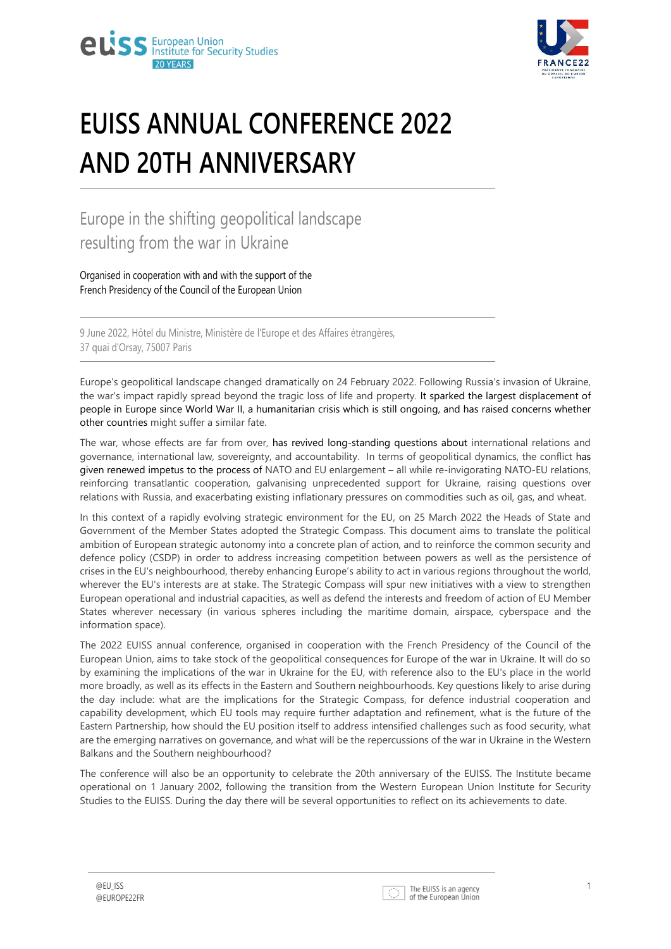



# **EUISS ANNUAL CONFERENCE 2022 AND 20TH ANNIVERSARY**

# Europe in the shifting geopolitical landscape resulting from the war in Ukraine

Organised in cooperation with and with the support of the French Presidency of the Council of the European Union

9 June 2022, Hôtel du Ministre, Ministère de l'Europe et des Affaires étrangères, 37 quai d'Orsay, 75007 Paris

Europe's geopolitical landscape changed dramatically on 24 February 2022. Following Russia's invasion of Ukraine, the war's impact rapidly spread beyond the tragic loss of life and property. It sparked the largest displacement of people in Europe since World War II, a humanitarian crisis which is still ongoing, and has raised concerns whether other countries might suffer a similar fate.

The war, whose effects are far from over, has revived long-standing questions about international relations and governance, international law, sovereignty, and accountability. In terms of geopolitical dynamics, the conflict has given renewed impetus to the process of NATO and EU enlargement – all while re-invigorating NATO-EU relations, reinforcing transatlantic cooperation, galvanising unprecedented support for Ukraine, raising questions over relations with Russia, and exacerbating existing inflationary pressures on commodities such as oil, gas, and wheat.

In this context of a rapidly evolving strategic environment for the EU, on 25 March 2022 the Heads of State and Government of the Member States adopted the Strategic Compass. This document aims to translate the political ambition of European strategic autonomy into a concrete plan of action, and to reinforce the common security and defence policy (CSDP) in order to address increasing competition between powers as well as the persistence of crises in the EU's neighbourhood, thereby enhancing Europe's ability to act in various regions throughout the world, wherever the EU's interests are at stake. The Strategic Compass will spur new initiatives with a view to strengthen European operational and industrial capacities, as well as defend the interests and freedom of action of EU Member States wherever necessary (in various spheres including the maritime domain, airspace, cyberspace and the information space).

The 2022 EUISS annual conference, organised in cooperation with the French Presidency of the Council of the European Union, aims to take stock of the geopolitical consequences for Europe of the war in Ukraine. It will do so by examining the implications of the war in Ukraine for the EU, with reference also to the EU's place in the world more broadly, as well as its effects in the Eastern and Southern neighbourhoods. Key questions likely to arise during the day include: what are the implications for the Strategic Compass, for defence industrial cooperation and capability development, which EU tools may require further adaptation and refinement, what is the future of the Eastern Partnership, how should the EU position itself to address intensified challenges such as food security, what are the emerging narratives on governance, and what will be the repercussions of the war in Ukraine in the Western Balkans and the Southern neighbourhood?

The conference will also be an opportunity to celebrate the 20th anniversary of the EUISS. The Institute became operational on 1 January 2002, following the transition from the Western European Union Institute for Security Studies to the EUISS. During the day there will be several opportunities to reflect on its achievements to date.